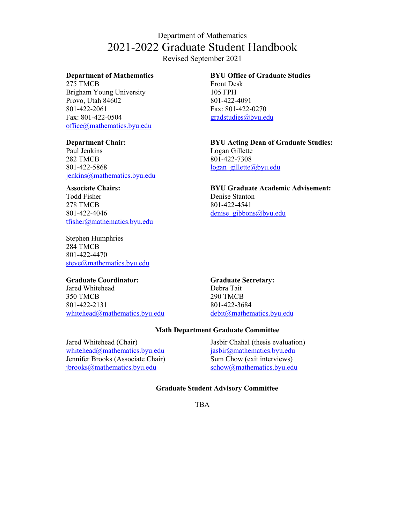# Department of Mathematics 2021-2022 Graduate Student Handbook

Revised September 2021

#### **Department of Mathematics**

275 TMCB Brigham Young University Provo, Utah 84602 801-422-2061 Fax: 801-422-0504 office@mathematics.byu.edu

#### **Department Chair:**

Paul Jenkins 282 TMCB 801-422-5868 jenkins@mathematics.byu.edu

### **Associate Chairs:**

Todd Fisher 278 TMCB 801-422-4046 tfisher@mathematics.byu.edu

Stephen Humphries 284 TMCB 801-422-4470 steve@mathematics.byu.edu

### **Graduate Coordinator:**

Jared Whitehead 350 TMCB 801-422-2131 whitehead@mathematics.byu.edu

**BYU Office of Graduate Studies** Front Desk

105 FPH 801-422-4091 Fax: 801-422-0270 gradstudies@byu.edu

**BYU Acting Dean of Graduate Studies:** Logan Gillette 801-422-7308 logan\_gillette@byu.edu

**BYU Graduate Academic Advisement:** Denise Stanton 801-422-4541 denise gibbons@byu.edu

**Graduate Secretary:** Debra Tait 290 TMCB 801-422-3684 debit@mathematics.byu.edu

### **Math Department Graduate Committee**

Jared Whitehead (Chair) whitehead@mathematics.byu.edu Jennifer Brooks (Associate Chair) jbrooks@mathematics.byu.edu

Jasbir Chahal (thesis evaluation) jasbir@mathematics.byu.edu Sum Chow (exit interviews) schow@mathematics.byu.edu

### **Graduate Student Advisory Committee**

TBA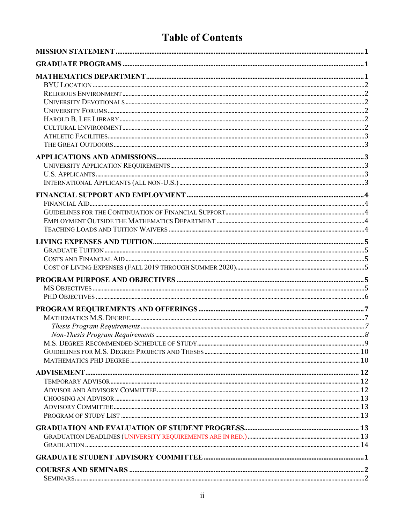# **Table of Contents**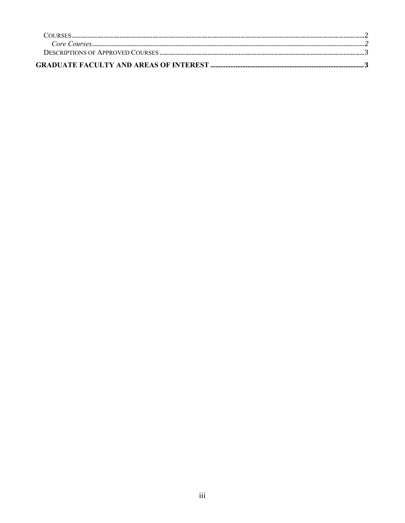| COURSES |  |
|---------|--|
|         |  |
|         |  |
|         |  |
|         |  |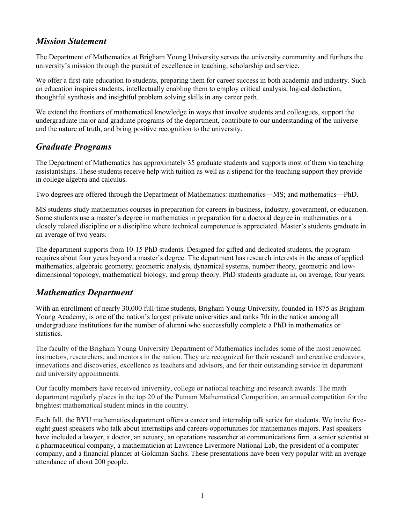# *Mission Statement*

The Department of Mathematics at Brigham Young University serves the university community and furthers the university's mission through the pursuit of excellence in teaching, scholarship and service.

We offer a first-rate education to students, preparing them for career success in both academia and industry. Such an education inspires students, intellectually enabling them to employ critical analysis, logical deduction, thoughtful synthesis and insightful problem solving skills in any career path.

We extend the frontiers of mathematical knowledge in ways that involve students and colleagues, support the undergraduate major and graduate programs of the department, contribute to our understanding of the universe and the nature of truth, and bring positive recognition to the university.

# *Graduate Programs*

The Department of Mathematics has approximately 35 graduate students and supports most of them via teaching assistantships. These students receive help with tuition as well as a stipend for the teaching support they provide in college algebra and calculus.

Two degrees are offered through the Department of Mathematics: mathematics—MS; and mathematics—PhD.

MS students study mathematics courses in preparation for careers in business, industry, government, or education. Some students use a master's degree in mathematics in preparation for a doctoral degree in mathematics or a closely related discipline or a discipline where technical competence is appreciated. Master's students graduate in an average of two years.

The department supports from 10-15 PhD students. Designed for gifted and dedicated students, the program requires about four years beyond a master's degree. The department has research interests in the areas of applied mathematics, algebraic geometry, geometric analysis, dynamical systems, number theory, geometric and lowdimensional topology, mathematical biology, and group theory. PhD students graduate in, on average, four years.

# *Mathematics Department*

With an enrollment of nearly 30,000 full-time students, Brigham Young University, founded in 1875 as Brigham Young Academy, is one of the nation's largest private universities and ranks 7th in the nation among all undergraduate institutions for the number of alumni who successfully complete a PhD in mathematics or statistics.

The faculty of the Brigham Young University Department of Mathematics includes some of the most renowned instructors, researchers, and mentors in the nation. They are recognized for their research and creative endeavors, innovations and discoveries, excellence as teachers and advisors, and for their outstanding service in department and university appointments.

Our faculty members have received university, college or national teaching and research awards. The math department regularly places in the top 20 of the Putnam Mathematical Competition, an annual competition for the brightest mathematical student minds in the country.

Each fall, the BYU mathematics department offers a career and internship talk series for students. We invite fiveeight guest speakers who talk about internships and careers opportunities for mathematics majors. Past speakers have included a lawyer, a doctor, an actuary, an operations researcher at communications firm, a senior scientist at a pharmaceutical company, a mathematician at Lawrence Livermore National Lab, the president of a computer company, and a financial planner at Goldman Sachs. These presentations have been very popular with an average attendance of about 200 people.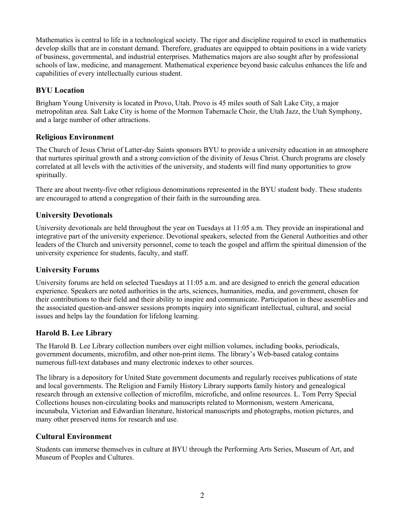Mathematics is central to life in a technological society. The rigor and discipline required to excel in mathematics develop skills that are in constant demand. Therefore, graduates are equipped to obtain positions in a wide variety of business, governmental, and industrial enterprises. Mathematics majors are also sought after by professional schools of law, medicine, and management. Mathematical experience beyond basic calculus enhances the life and capabilities of every intellectually curious student.

# **BYU Location**

Brigham Young University is located in Provo, Utah. Provo is 45 miles south of Salt Lake City, a major metropolitan area. Salt Lake City is home of the Mormon Tabernacle Choir, the Utah Jazz, the Utah Symphony, and a large number of other attractions.

# **Religious Environment**

The Church of Jesus Christ of Latter-day Saints sponsors BYU to provide a university education in an atmosphere that nurtures spiritual growth and a strong conviction of the divinity of Jesus Christ. Church programs are closely correlated at all levels with the activities of the university, and students will find many opportunities to grow spiritually.

There are about twenty-five other religious denominations represented in the BYU student body. These students are encouraged to attend a congregation of their faith in the surrounding area.

# **University Devotionals**

University devotionals are held throughout the year on Tuesdays at 11:05 a.m. They provide an inspirational and integrative part of the university experience. Devotional speakers, selected from the General Authorities and other leaders of the Church and university personnel, come to teach the gospel and affirm the spiritual dimension of the university experience for students, faculty, and staff.

# **University Forums**

University forums are held on selected Tuesdays at 11:05 a.m. and are designed to enrich the general education experience. Speakers are noted authorities in the arts, sciences, humanities, media, and government, chosen for their contributions to their field and their ability to inspire and communicate. Participation in these assemblies and the associated question-and-answer sessions prompts inquiry into significant intellectual, cultural, and social issues and helps lay the foundation for lifelong learning.

# **Harold B. Lee Library**

The Harold B. Lee Library collection numbers over eight million volumes, including books, periodicals, government documents, microfilm, and other non-print items. The library's Web-based catalog contains numerous full-text databases and many electronic indexes to other sources.

The library is a depository for United State government documents and regularly receives publications of state and local governments. The Religion and Family History Library supports family history and genealogical research through an extensive collection of microfilm, microfiche, and online resources. L. Tom Perry Special Collections houses non-circulating books and manuscripts related to Mormonism, western Americana, incunabula, Victorian and Edwardian literature, historical manuscripts and photographs, motion pictures, and many other preserved items for research and use.

# **Cultural Environment**

Students can immerse themselves in culture at BYU through the Performing Arts Series, Museum of Art, and Museum of Peoples and Cultures.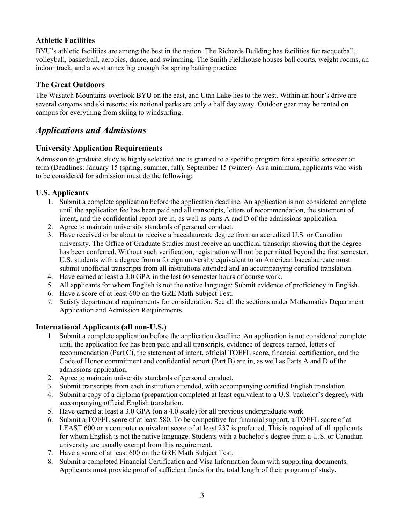# **Athletic Facilities**

BYU's athletic facilities are among the best in the nation. The Richards Building has facilities for racquetball, volleyball, basketball, aerobics, dance, and swimming. The Smith Fieldhouse houses ball courts, weight rooms, an indoor track, and a west annex big enough for spring batting practice.

# **The Great Outdoors**

The Wasatch Mountains overlook BYU on the east, and Utah Lake lies to the west. Within an hour's drive are several canyons and ski resorts; six national parks are only a half day away. Outdoor gear may be rented on campus for everything from skiing to windsurfing.

# *Applications and Admissions*

# **University Application Requirements**

Admission to graduate study is highly selective and is granted to a specific program for a specific semester or term (Deadlines: January 15 (spring, summer, fall), September 15 (winter). As a minimum, applicants who wish to be considered for admission must do the following:

# **U.S. Applicants**

- 1. Submit a complete application before the application deadline. An application is not considered complete until the application fee has been paid and all transcripts, letters of recommendation, the statement of intent, and the confidential report are in, as well as parts A and D of the admissions application.
- 2. Agree to maintain university standards of personal conduct.
- 3. Have received or be about to receive a baccalaureate degree from an accredited U.S. or Canadian university. The Office of Graduate Studies must receive an unofficial transcript showing that the degree has been conferred. Without such verification, registration will not be permitted beyond the first semester. U.S. students with a degree from a foreign university equivalent to an American baccalaureate must submit unofficial transcripts from all institutions attended and an accompanying certified translation.
- 4. Have earned at least a 3.0 GPA in the last 60 semester hours of course work.
- 5. All applicants for whom English is not the native language: Submit evidence of proficiency in English.
- 6. Have a score of at least 600 on the GRE Math Subject Test.
- 7. Satisfy departmental requirements for consideration. See all the sections under Mathematics Department Application and Admission Requirements.

# **International Applicants (all non-U.S.)**

- 1. Submit a complete application before the application deadline. An application is not considered complete until the application fee has been paid and all transcripts, evidence of degrees earned, letters of recommendation (Part C), the statement of intent, official TOEFL score, financial certification, and the Code of Honor commitment and confidential report (Part B) are in, as well as Parts A and D of the admissions application.
- 2. Agree to maintain university standards of personal conduct.
- 3. Submit transcripts from each institution attended, with accompanying certified English translation.
- 4. Submit a copy of a diploma (preparation completed at least equivalent to a U.S. bachelor's degree), with accompanying official English translation.
- 5. Have earned at least a 3.0 GPA (on a 4.0 scale) for all previous undergraduate work.
- 6. Submit a TOEFL score of at least 580. To be competitive for financial support, a TOEFL score of at LEAST 600 or a computer equivalent score of at least 237 is preferred. This is required of all applicants for whom English is not the native language. Students with a bachelor's degree from a U.S. or Canadian university are usually exempt from this requirement.
- 7. Have a score of at least 600 on the GRE Math Subject Test.
- 8. Submit a completed Financial Certification and Visa Information form with supporting documents. Applicants must provide proof of sufficient funds for the total length of their program of study.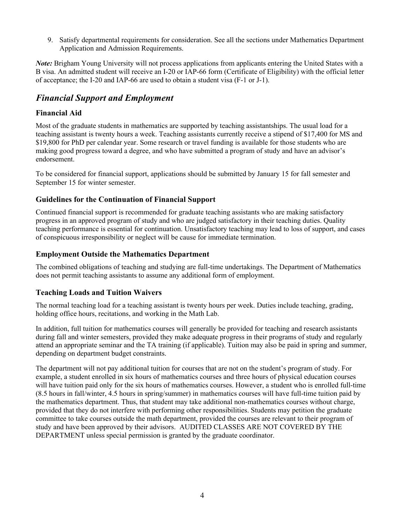9. Satisfy departmental requirements for consideration. See all the sections under Mathematics Department Application and Admission Requirements.

*Note:* Brigham Young University will not process applications from applicants entering the United States with a B visa. An admitted student will receive an I-20 or IAP-66 form (Certificate of Eligibility) with the official letter of acceptance; the I-20 and IAP-66 are used to obtain a student visa (F-1 or J-1).

# *Financial Support and Employment*

# **Financial Aid**

Most of the graduate students in mathematics are supported by teaching assistantships. The usual load for a teaching assistant is twenty hours a week. Teaching assistants currently receive a stipend of \$17,400 for MS and \$19,800 for PhD per calendar year. Some research or travel funding is available for those students who are making good progress toward a degree, and who have submitted a program of study and have an advisor's endorsement.

To be considered for financial support, applications should be submitted by January 15 for fall semester and September 15 for winter semester.

# **Guidelines for the Continuation of Financial Support**

Continued financial support is recommended for graduate teaching assistants who are making satisfactory progress in an approved program of study and who are judged satisfactory in their teaching duties. Quality teaching performance is essential for continuation. Unsatisfactory teaching may lead to loss of support, and cases of conspicuous irresponsibility or neglect will be cause for immediate termination.

# **Employment Outside the Mathematics Department**

The combined obligations of teaching and studying are full-time undertakings. The Department of Mathematics does not permit teaching assistants to assume any additional form of employment.

# **Teaching Loads and Tuition Waivers**

The normal teaching load for a teaching assistant is twenty hours per week. Duties include teaching, grading, holding office hours, recitations, and working in the Math Lab.

In addition, full tuition for mathematics courses will generally be provided for teaching and research assistants during fall and winter semesters, provided they make adequate progress in their programs of study and regularly attend an appropriate seminar and the TA training (if applicable). Tuition may also be paid in spring and summer, depending on department budget constraints.

The department will not pay additional tuition for courses that are not on the student's program of study. For example, a student enrolled in six hours of mathematics courses and three hours of physical education courses will have tuition paid only for the six hours of mathematics courses. However, a student who is enrolled full-time (8.5 hours in fall/winter, 4.5 hours in spring/summer) in mathematics courses will have full-time tuition paid by the mathematics department. Thus, that student may take additional non-mathematics courses without charge, provided that they do not interfere with performing other responsibilities. Students may petition the graduate committee to take courses outside the math department, provided the courses are relevant to their program of study and have been approved by their advisors. AUDITED CLASSES ARE NOT COVERED BY THE DEPARTMENT unless special permission is granted by the graduate coordinator.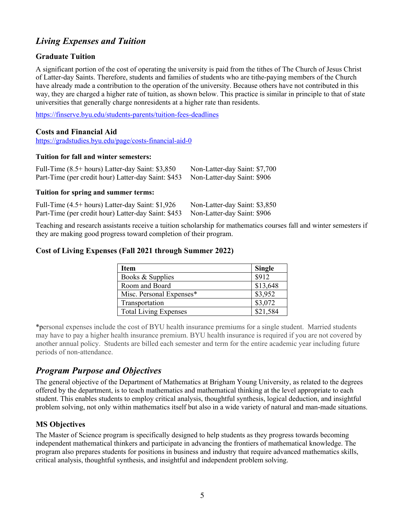# *Living Expenses and Tuition*

# **Graduate Tuition**

A significant portion of the cost of operating the university is paid from the tithes of The Church of Jesus Christ of Latter-day Saints. Therefore, students and families of students who are tithe-paying members of the Church have already made a contribution to the operation of the university. Because others have not contributed in this way, they are charged a higher rate of tuition, as shown below. This practice is similar in principle to that of state universities that generally charge nonresidents at a higher rate than residents.

https://finserve.byu.edu/students-parents/tuition-fees-deadlines

### **Costs and Financial Aid**

https://gradstudies.byu.edu/page/costs-financial-aid-0

### **Tuition for fall and winter semesters:**

| Full-Time (8.5+ hours) Latter-day Saint: \$3,850                                | Non-Latter-day Saint: \$7,700 |
|---------------------------------------------------------------------------------|-------------------------------|
| Part-Time (per credit hour) Latter-day Saint: \$453 Non-Latter-day Saint: \$906 |                               |

### **Tuition for spring and summer terms:**

| Full-Time (4.5+ hours) Latter-day Saint: \$1,926                                | Non-Latter-day Saint: \$3,850 |
|---------------------------------------------------------------------------------|-------------------------------|
| Part-Time (per credit hour) Latter-day Saint: \$453 Non-Latter-day Saint: \$906 |                               |

Teaching and research assistants receive a tuition scholarship for mathematics courses fall and winter semesters if they are making good progress toward completion of their program.

### **Cost of Living Expenses (Fall 2021 through Summer 2022)**

| Item                         | <b>Single</b> |
|------------------------------|---------------|
| Books & Supplies             | \$912         |
| Room and Board               | \$13,648      |
| Misc. Personal Expenses*     | \$3,952       |
| Transportation               | \$3,072       |
| <b>Total Living Expenses</b> | \$21,584      |

\*personal expenses include the cost of BYU health insurance premiums for a single student. Married students may have to pay a higher health insurance premium. BYU health insurance is required if you are not covered by another annual policy. Students are billed each semester and term for the entire academic year including future periods of non-attendance.

# *Program Purpose and Objectives*

The general objective of the Department of Mathematics at Brigham Young University, as related to the degrees offered by the department, is to teach mathematics and mathematical thinking at the level appropriate to each student. This enables students to employ critical analysis, thoughtful synthesis, logical deduction, and insightful problem solving, not only within mathematics itself but also in a wide variety of natural and man-made situations.

# **MS Objectives**

The Master of Science program is specifically designed to help students as they progress towards becoming independent mathematical thinkers and participate in advancing the frontiers of mathematical knowledge. The program also prepares students for positions in business and industry that require advanced mathematics skills, critical analysis, thoughtful synthesis, and insightful and independent problem solving.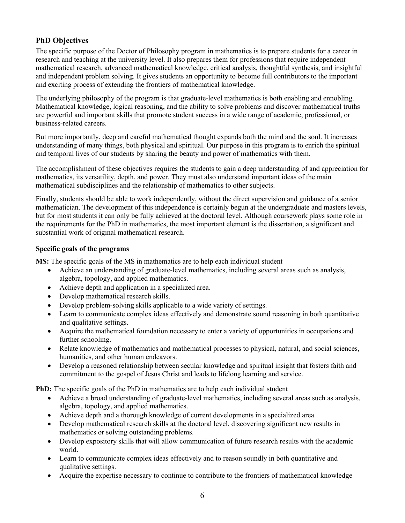# **PhD Objectives**

The specific purpose of the Doctor of Philosophy program in mathematics is to prepare students for a career in research and teaching at the university level. It also prepares them for professions that require independent mathematical research, advanced mathematical knowledge, critical analysis, thoughtful synthesis, and insightful and independent problem solving. It gives students an opportunity to become full contributors to the important and exciting process of extending the frontiers of mathematical knowledge.

The underlying philosophy of the program is that graduate-level mathematics is both enabling and ennobling. Mathematical knowledge, logical reasoning, and the ability to solve problems and discover mathematical truths are powerful and important skills that promote student success in a wide range of academic, professional, or business-related careers.

But more importantly, deep and careful mathematical thought expands both the mind and the soul. It increases understanding of many things, both physical and spiritual. Our purpose in this program is to enrich the spiritual and temporal lives of our students by sharing the beauty and power of mathematics with them.

The accomplishment of these objectives requires the students to gain a deep understanding of and appreciation for mathematics, its versatility, depth, and power. They must also understand important ideas of the main mathematical subdisciplines and the relationship of mathematics to other subjects.

Finally, students should be able to work independently, without the direct supervision and guidance of a senior mathematician. The development of this independence is certainly begun at the undergraduate and masters levels, but for most students it can only be fully achieved at the doctoral level. Although coursework plays some role in the requirements for the PhD in mathematics, the most important element is the dissertation, a significant and substantial work of original mathematical research.

### **Specific goals of the programs**

**MS:** The specific goals of the MS in mathematics are to help each individual student

- Achieve an understanding of graduate-level mathematics, including several areas such as analysis, algebra, topology, and applied mathematics.
- Achieve depth and application in a specialized area.
- Develop mathematical research skills.
- Develop problem-solving skills applicable to a wide variety of settings.
- Learn to communicate complex ideas effectively and demonstrate sound reasoning in both quantitative and qualitative settings.
- Acquire the mathematical foundation necessary to enter a variety of opportunities in occupations and further schooling.
- Relate knowledge of mathematics and mathematical processes to physical, natural, and social sciences, humanities, and other human endeavors.
- Develop a reasoned relationship between secular knowledge and spiritual insight that fosters faith and commitment to the gospel of Jesus Christ and leads to lifelong learning and service.

**PhD:** The specific goals of the PhD in mathematics are to help each individual student

- Achieve a broad understanding of graduate-level mathematics, including several areas such as analysis, algebra, topology, and applied mathematics.
- Achieve depth and a thorough knowledge of current developments in a specialized area.
- Develop mathematical research skills at the doctoral level, discovering significant new results in mathematics or solving outstanding problems.
- Develop expository skills that will allow communication of future research results with the academic world.
- Learn to communicate complex ideas effectively and to reason soundly in both quantitative and qualitative settings.
- Acquire the expertise necessary to continue to contribute to the frontiers of mathematical knowledge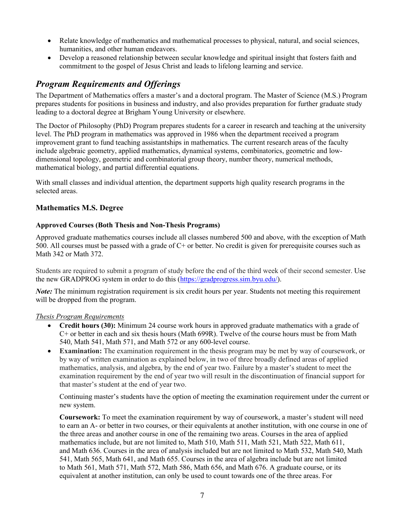- Relate knowledge of mathematics and mathematical processes to physical, natural, and social sciences, humanities, and other human endeavors.
- Develop a reasoned relationship between secular knowledge and spiritual insight that fosters faith and commitment to the gospel of Jesus Christ and leads to lifelong learning and service.

# *Program Requirements and Offerings*

The Department of Mathematics offers a master's and a doctoral program. The Master of Science (M.S.) Program prepares students for positions in business and industry, and also provides preparation for further graduate study leading to a doctoral degree at Brigham Young University or elsewhere.

The Doctor of Philosophy (PhD) Program prepares students for a career in research and teaching at the university level. The PhD program in mathematics was approved in 1986 when the department received a program improvement grant to fund teaching assistantships in mathematics. The current research areas of the faculty include algebraic geometry, applied mathematics, dynamical systems, combinatorics, geometric and lowdimensional topology, geometric and combinatorial group theory, number theory, numerical methods, mathematical biology, and partial differential equations.

With small classes and individual attention, the department supports high quality research programs in the selected areas.

# **Mathematics M.S. Degree**

# **Approved Courses (Both Thesis and Non-Thesis Programs)**

Approved graduate mathematics courses include all classes numbered 500 and above, with the exception of Math 500. All courses must be passed with a grade of  $C<sup>+</sup>$  or better. No credit is given for prerequisite courses such as Math 342 or Math 372.

Students are required to submit a program of study before the end of the third week of their second semester. Use the new GRADPROG system in order to do this (https://gradprogress.sim.byu.edu/).

*Note*: The minimum registration requirement is six credit hours per year. Students not meeting this requirement will be dropped from the program.

### *Thesis Program Requirements*

- **Credit hours (30):** Minimum 24 course work hours in approved graduate mathematics with a grade of C+ or better in each and six thesis hours (Math 699R). Twelve of the course hours must be from Math 540, Math 541, Math 571, and Math 572 or any 600-level course.
- **Examination:** The examination requirement in the thesis program may be met by way of coursework, or by way of written examination as explained below, in two of three broadly defined areas of applied mathematics, analysis, and algebra, by the end of year two. Failure by a master's student to meet the examination requirement by the end of year two will result in the discontinuation of financial support for that master's student at the end of year two.

Continuing master's students have the option of meeting the examination requirement under the current or new system.

**Coursework:** To meet the examination requirement by way of coursework, a master's student will need to earn an A- or better in two courses, or their equivalents at another institution, with one course in one of the three areas and another course in one of the remaining two areas. Courses in the area of applied mathematics include, but are not limited to, Math 510, Math 511, Math 521, Math 522, Math 611, and Math 636. Courses in the area of analysis included but are not limited to Math 532, Math 540, Math 541, Math 565, Math 641, and Math 655. Courses in the area of algebra include but are not limited to Math 561, Math 571, Math 572, Math 586, Math 656, and Math 676. A graduate course, or its equivalent at another institution, can only be used to count towards one of the three areas. For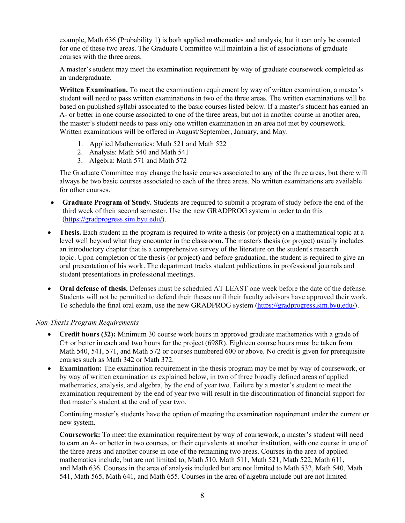example, Math 636 (Probability 1) is both applied mathematics and analysis, but it can only be counted for one of these two areas. The Graduate Committee will maintain a list of associations of graduate courses with the three areas.

A master's student may meet the examination requirement by way of graduate coursework completed as an undergraduate.

**Written Examination.** To meet the examination requirement by way of written examination, a master's student will need to pass written examinations in two of the three areas. The written examinations will be based on published syllabi associated to the basic courses listed below. If a master's student has earned an A- or better in one course associated to one of the three areas, but not in another course in another area, the master's student needs to pass only one written examination in an area not met by coursework. Written examinations will be offered in August/September, January, and May.

- 1. Applied Mathematics: Math 521 and Math 522
- 2. Analysis: Math 540 and Math 541
- 3. Algebra: Math 571 and Math 572

The Graduate Committee may change the basic courses associated to any of the three areas, but there will always be two basic courses associated to each of the three areas. No written examinations are available for other courses.

- **Graduate Program of Study.** Students are required to submit a program of study before the end of the third week of their second semester. Use the new GRADPROG system in order to do this (https://gradprogress.sim.byu.edu/).
- **Thesis.** Each student in the program is required to write a thesis (or project) on a mathematical topic at a level well beyond what they encounter in the classroom. The master's thesis (or project) usually includes an introductory chapter that is a comprehensive survey of the literature on the student's research topic. Upon completion of the thesis (or project) and before graduation, the student is required to give an oral presentation of his work. The department tracks student publications in professional journals and student presentations in professional meetings.
- **Oral defense of thesis.** Defenses must be scheduled AT LEAST one week before the date of the defense. Students will not be permitted to defend their theses until their faculty advisors have approved their work. To schedule the final oral exam, use the new GRADPROG system (https://gradprogress.sim.byu.edu/).

### *Non-Thesis Program Requirements*

- **Credit hours (32):** Minimum 30 course work hours in approved graduate mathematics with a grade of C+ or better in each and two hours for the project (698R). Eighteen course hours must be taken from Math 540, 541, 571, and Math 572 or courses numbered 600 or above. No credit is given for prerequisite courses such as Math 342 or Math 372.
- **Examination:** The examination requirement in the thesis program may be met by way of coursework, or by way of written examination as explained below, in two of three broadly defined areas of applied mathematics, analysis, and algebra, by the end of year two. Failure by a master's student to meet the examination requirement by the end of year two will result in the discontinuation of financial support for that master's student at the end of year two.

Continuing master's students have the option of meeting the examination requirement under the current or new system.

**Coursework:** To meet the examination requirement by way of coursework, a master's student will need to earn an A- or better in two courses, or their equivalents at another institution, with one course in one of the three areas and another course in one of the remaining two areas. Courses in the area of applied mathematics include, but are not limited to, Math 510, Math 511, Math 521, Math 522, Math 611, and Math 636. Courses in the area of analysis included but are not limited to Math 532, Math 540, Math 541, Math 565, Math 641, and Math 655. Courses in the area of algebra include but are not limited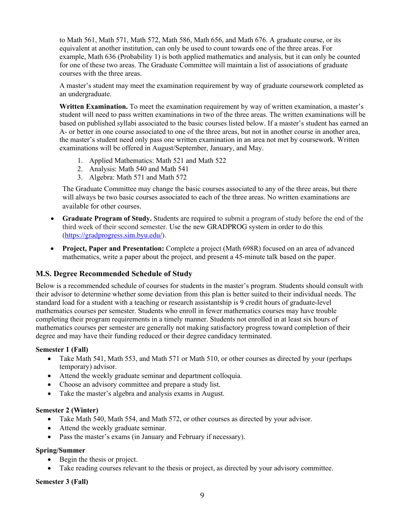to Math 561, Math 571, Math 572, Math 586, Math 656, and Math 676. A graduate course, or its equivalent at another institution, can only be used to count towards one of the three areas. For example, Math 636 (Probability 1) is both applied mathematics and analysis, but it can only be counted for one of these two areas. The Graduate Committee will maintain a list of associations of graduate courses with the three areas.

A master's student may meet the examination requirement by way of graduate coursework completed as an undergraduate.

**Written Examination.** To meet the examination requirement by way of written examination, a master's student will need to pass written examinations in two of the three areas. The written examinations will be based on published syllabi associated to the basic courses listed below. If a master's student has earned an A- or better in one course associated to one of the three areas, but not in another course in another area, the master's student need only pass one written examination in an area not met by coursework. Written examinations will be offered in August/September, January, and May.

- 1. Applied Mathematics: Math 521 and Math 522
- 2. Analysis: Math 540 and Math 541
- 3. Algebra: Math 571 and Math 572

The Graduate Committee may change the basic courses associated to any of the three areas, but there will always be two basic courses associated to each of the three areas. No written examinations are available for other courses.

- **Graduate Program of Study.** Students are required to submit a program of study before the end of the third week of their second semester. Use the new GRADPROG system in order to do this (https://gradprogress.sim.byu.edu/).
- **Project, Paper and Presentation:** Complete a project (Math 698R) focused on an area of advanced mathematics, write a paper about the project, and present a 45-minute talk based on the paper.

# **M.S. Degree Recommended Schedule of Study**

Below is a recommended schedule of courses for students in the master's program. Students should consult with their advisor to determine whether some deviation from this plan is better suited to their individual needs. The standard load for a student with a teaching or research assistantship is 9 credit hours of graduate-level mathematics courses per semester. Students who enroll in fewer mathematics courses may have trouble completing their program requirements in a timely manner. Students not enrolled in at least six hours of mathematics courses per semester are generally not making satisfactory progress toward completion of their degree and may have their funding reduced or their degree candidacy terminated.

### **Semester 1 (Fall)**

- Take Math 541, Math 553, and Math 571 or Math 510, or other courses as directed by your (perhaps temporary) advisor.
- Attend the weekly graduate seminar and department colloquia.
- Choose an advisory committee and prepare a study list.
- Take the master's algebra and analysis exams in August.

### **Semester 2 (Winter)**

- Take Math 540, Math 554, and Math 572, or other courses as directed by your advisor.
- Attend the weekly graduate seminar.
- Pass the master's exams (in January and February if necessary).

### **Spring/Summer**

- Begin the thesis or project.
- Take reading courses relevant to the thesis or project, as directed by your advisory committee.

### **Semester 3 (Fall)**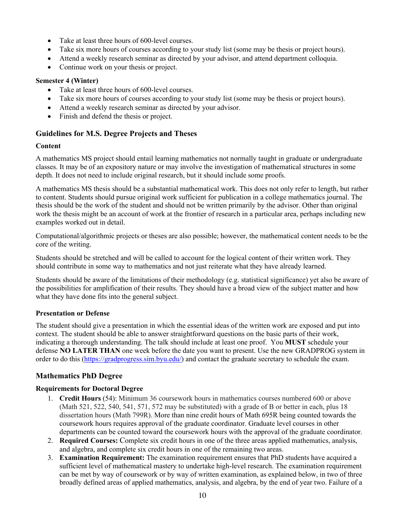- Take at least three hours of 600-level courses.
- Take six more hours of courses according to your study list (some may be thesis or project hours).
- Attend a weekly research seminar as directed by your advisor, and attend department colloquia.
- Continue work on your thesis or project.

### **Semester 4 (Winter)**

- Take at least three hours of 600-level courses.
- Take six more hours of courses according to your study list (some may be thesis or project hours).
- Attend a weekly research seminar as directed by your advisor.
- Finish and defend the thesis or project.

# **Guidelines for M.S. Degree Projects and Theses**

### **Content**

A mathematics MS project should entail learning mathematics not normally taught in graduate or undergraduate classes. It may be of an expository nature or may involve the investigation of mathematical structures in some depth. It does not need to include original research, but it should include some proofs.

A mathematics MS thesis should be a substantial mathematical work. This does not only refer to length, but rather to content. Students should pursue original work sufficient for publication in a college mathematics journal. The thesis should be the work of the student and should not be written primarily by the advisor. Other than original work the thesis might be an account of work at the frontier of research in a particular area, perhaps including new examples worked out in detail.

Computational/algorithmic projects or theses are also possible; however, the mathematical content needs to be the core of the writing.

Students should be stretched and will be called to account for the logical content of their written work. They should contribute in some way to mathematics and not just reiterate what they have already learned.

Students should be aware of the limitations of their methodology (e.g. statistical significance) yet also be aware of the possibilities for amplification of their results. They should have a broad view of the subject matter and how what they have done fits into the general subject.

### **Presentation or Defense**

The student should give a presentation in which the essential ideas of the written work are exposed and put into context. The student should be able to answer straightforward questions on the basic parts of their work, indicating a thorough understanding. The talk should include at least one proof. You **MUST** schedule your defense **NO LATER THAN** one week before the date you want to present. Use the new GRADPROG system in order to do this (https://gradprogress.sim.byu.edu/) and contact the graduate secretary to schedule the exam.

# **Mathematics PhD Degree**

# **Requirements for Doctoral Degree**

- 1. **Credit Hours** (54): Minimum 36 coursework hours in mathematics courses numbered 600 or above (Math 521, 522, 540, 541, 571, 572 may be substituted) with a grade of B or better in each, plus 18 dissertation hours (Math 799R). More than nine credit hours of Math 695R being counted towards the coursework hours requires approval of the graduate coordinator. Graduate level courses in other departments can be counted toward the coursework hours with the approval of the graduate coordinator.
- 2. **Required Courses:** Complete six credit hours in one of the three areas applied mathematics, analysis, and algebra, and complete six credit hours in one of the remaining two areas.
- 3. **Examination Requirement:** The examination requirement ensures that PhD students have acquired a sufficient level of mathematical mastery to undertake high-level research. The examination requirement can be met by way of coursework or by way of written examination, as explained below, in two of three broadly defined areas of applied mathematics, analysis, and algebra, by the end of year two. Failure of a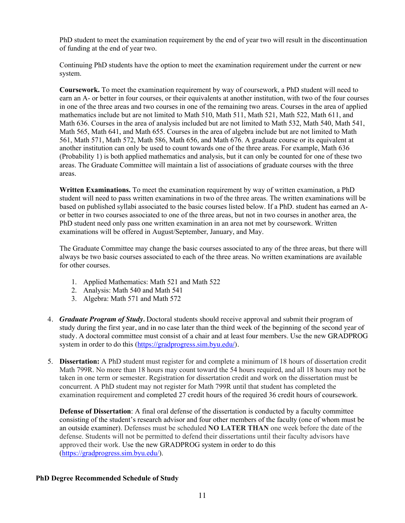PhD student to meet the examination requirement by the end of year two will result in the discontinuation of funding at the end of year two.

Continuing PhD students have the option to meet the examination requirement under the current or new system.

**Coursework.** To meet the examination requirement by way of coursework, a PhD student will need to earn an A- or better in four courses, or their equivalents at another institution, with two of the four courses in one of the three areas and two courses in one of the remaining two areas. Courses in the area of applied mathematics include but are not limited to Math 510, Math 511, Math 521, Math 522, Math 611, and Math 636. Courses in the area of analysis included but are not limited to Math 532, Math 540, Math 541, Math 565, Math 641, and Math 655. Courses in the area of algebra include but are not limited to Math 561, Math 571, Math 572, Math 586, Math 656, and Math 676. A graduate course or its equivalent at another institution can only be used to count towards one of the three areas. For example, Math 636 (Probability 1) is both applied mathematics and analysis, but it can only be counted for one of these two areas. The Graduate Committee will maintain a list of associations of graduate courses with the three areas.

**Written Examinations.** To meet the examination requirement by way of written examination, a PhD student will need to pass written examinations in two of the three areas. The written examinations will be based on published syllabi associated to the basic courses listed below. If a PhD. student has earned an Aor better in two courses associated to one of the three areas, but not in two courses in another area, the PhD student need only pass one written examination in an area not met by coursework. Written examinations will be offered in August/September, January, and May.

The Graduate Committee may change the basic courses associated to any of the three areas, but there will always be two basic courses associated to each of the three areas. No written examinations are available for other courses.

- 1. Applied Mathematics: Math 521 and Math 522
- 2. Analysis: Math 540 and Math 541
- 3. Algebra: Math 571 and Math 572
- 4. *Graduate Program of Study.* Doctoral students should receive approval and submit their program of study during the first year, and in no case later than the third week of the beginning of the second year of study. A doctoral committee must consist of a chair and at least four members. Use the new GRADPROG system in order to do this (https://gradprogress.sim.byu.edu/).
- 5. **Dissertation:** A PhD student must register for and complete a minimum of 18 hours of dissertation credit Math 799R. No more than 18 hours may count toward the 54 hours required, and all 18 hours may not be taken in one term or semester. Registration for dissertation credit and work on the dissertation must be concurrent. A PhD student may not register for Math 799R until that student has completed the examination requirement and completed 27 credit hours of the required 36 credit hours of coursework.

**Defense of Dissertation**: A final oral defense of the dissertation is conducted by a faculty committee consisting of the student's research advisor and four other members of the faculty (one of whom must be an outside examiner). Defenses must be scheduled **NO LATER THAN** one week before the date of the defense. Students will not be permitted to defend their dissertations until their faculty advisors have approved their work. Use the new GRADPROG system in order to do this (https://gradprogress.sim.byu.edu/).

### **PhD Degree Recommended Schedule of Study**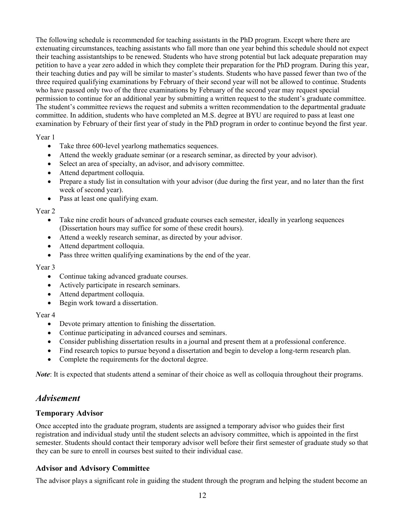The following schedule is recommended for teaching assistants in the PhD program. Except where there are extenuating circumstances, teaching assistants who fall more than one year behind this schedule should not expect their teaching assistantships to be renewed. Students who have strong potential but lack adequate preparation may petition to have a year zero added in which they complete their preparation for the PhD program. During this year, their teaching duties and pay will be similar to master's students. Students who have passed fewer than two of the three required qualifying examinations by February of their second year will not be allowed to continue. Students who have passed only two of the three examinations by February of the second year may request special permission to continue for an additional year by submitting a written request to the student's graduate committee. The student's committee reviews the request and submits a written recommendation to the departmental graduate committee. In addition, students who have completed an M.S. degree at BYU are required to pass at least one examination by February of their first year of study in the PhD program in order to continue beyond the first year.

Year 1

- Take three 600-level yearlong mathematics sequences.
- Attend the weekly graduate seminar (or a research seminar, as directed by your advisor).
- Select an area of specialty, an advisor, and advisory committee.
- Attend department colloquia.
- Prepare a study list in consultation with your advisor (due during the first year, and no later than the first week of second year).
- Pass at least one qualifying exam.

#### Year 2

- Take nine credit hours of advanced graduate courses each semester, ideally in yearlong sequences (Dissertation hours may suffice for some of these credit hours).
- Attend a weekly research seminar, as directed by your advisor.
- Attend department colloquia.
- Pass three written qualifying examinations by the end of the year.

#### Year 3

- Continue taking advanced graduate courses.
- Actively participate in research seminars.
- Attend department colloquia.
- Begin work toward a dissertation.

### Year 4

- Devote primary attention to finishing the dissertation.
- Continue participating in advanced courses and seminars.
- Consider publishing dissertation results in a journal and present them at a professional conference.
- Find research topics to pursue beyond a dissertation and begin to develop a long-term research plan.
- Complete the requirements for the doctoral degree.

*Note*: It is expected that students attend a seminar of their choice as well as colloquia throughout their programs.

# *Advisement*

# **Temporary Advisor**

Once accepted into the graduate program, students are assigned a temporary advisor who guides their first registration and individual study until the student selects an advisory committee, which is appointed in the first semester. Students should contact their temporary advisor well before their first semester of graduate study so that they can be sure to enroll in courses best suited to their individual case.

# **Advisor and Advisory Committee**

The advisor plays a significant role in guiding the student through the program and helping the student become an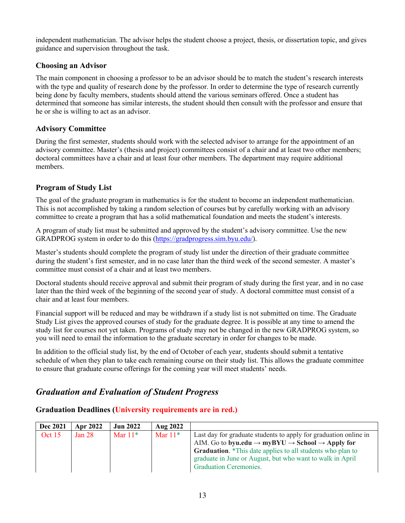independent mathematician. The advisor helps the student choose a project, thesis, or dissertation topic, and gives guidance and supervision throughout the task.

# **Choosing an Advisor**

The main component in choosing a professor to be an advisor should be to match the student's research interests with the type and quality of research done by the professor. In order to determine the type of research currently being done by faculty members, students should attend the various seminars offered. Once a student has determined that someone has similar interests, the student should then consult with the professor and ensure that he or she is willing to act as an advisor.

# **Advisory Committee**

During the first semester, students should work with the selected advisor to arrange for the appointment of an advisory committee. Master's (thesis and project) committees consist of a chair and at least two other members; doctoral committees have a chair and at least four other members. The department may require additional members.

# **Program of Study List**

The goal of the graduate program in mathematics is for the student to become an independent mathematician. This is not accomplished by taking a random selection of courses but by carefully working with an advisory committee to create a program that has a solid mathematical foundation and meets the student's interests.

A program of study list must be submitted and approved by the student's advisory committee. Use the new GRADPROG system in order to do this (https://gradprogress.sim.byu.edu/).

Master's students should complete the program of study list under the direction of their graduate committee during the student's first semester, and in no case later than the third week of the second semester. A master's committee must consist of a chair and at least two members.

Doctoral students should receive approval and submit their program of study during the first year, and in no case later than the third week of the beginning of the second year of study. A doctoral committee must consist of a chair and at least four members.

Financial support will be reduced and may be withdrawn if a study list is not submitted on time. The Graduate Study List gives the approved courses of study for the graduate degree. It is possible at any time to amend the study list for courses not yet taken. Programs of study may not be changed in the new GRADPROG system, so you will need to email the information to the graduate secretary in order for changes to be made.

In addition to the official study list, by the end of October of each year, students should submit a tentative schedule of when they plan to take each remaining course on their study list. This allows the graduate committee to ensure that graduate course offerings for the coming year will meet students' needs.

# *Graduation and Evaluation of Student Progress*

# **Graduation Deadlines (University requirements are in red.)**

| Dec 2021 | <b>Apr 2022</b>   | <b>Jun 2022</b> | Aug 2022  |                                                                                     |
|----------|-------------------|-----------------|-----------|-------------------------------------------------------------------------------------|
| Oct $15$ | Jan <sub>28</sub> | Mar $11*$       | Mar $11*$ | Last day for graduate students to apply for graduation online in                    |
|          |                   |                 |           | AIM. Go to byu.edu $\rightarrow$ myBYU $\rightarrow$ School $\rightarrow$ Apply for |
|          |                   |                 |           | <b>Graduation.</b> *This date applies to all students who plan to                   |
|          |                   |                 |           | graduate in June or August, but who want to walk in April                           |
|          |                   |                 |           | <b>Graduation Ceremonies.</b>                                                       |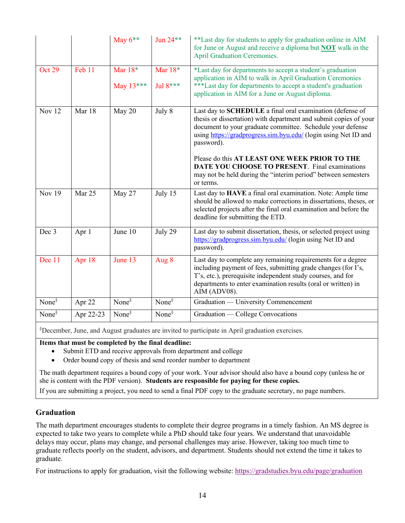|               |           | May $6**$                | Jun 24**                | **Last day for students to apply for graduation online in AIM<br>for June or August and receive a diploma but <b>NOT</b> walk in the<br><b>April Graduation Ceremonies.</b>                                                                                                   |
|---------------|-----------|--------------------------|-------------------------|-------------------------------------------------------------------------------------------------------------------------------------------------------------------------------------------------------------------------------------------------------------------------------|
| <b>Oct 29</b> | Feb 11    | Mar $18*$<br>May $13***$ | Mar $18*$<br>Jul $8***$ | *Last day for departments to accept a student's graduation<br>application in AIM to walk in April Graduation Ceremonies<br>***Last day for departments to accept a student's graduation<br>application in AIM for a June or August diploma.                                   |
| Nov 12        | Mar 18    | May 20                   | July 8                  | Last day to SCHEDULE a final oral examination (defense of<br>thesis or dissertation) with department and submit copies of your<br>document to your graduate committee. Schedule your defense<br>using https://gradprogress.sim.byu.edu/ (login using Net ID and<br>password). |
|               |           |                          |                         | Please do this AT LEAST ONE WEEK PRIOR TO THE<br>DATE YOU CHOOSE TO PRESENT. Final examinations<br>may not be held during the "interim period" between semesters<br>or terms.                                                                                                 |
| <b>Nov 19</b> | Mar 25    | May 27                   | July 15                 | Last day to HAVE a final oral examination. Note: Ample time<br>should be allowed to make corrections in dissertations, theses, or<br>selected projects after the final oral examination and before the<br>deadline for submitting the ETD.                                    |
| Dec 3         | Apr 1     | June 10                  | July 29                 | Last day to submit dissertation, thesis, or selected project using<br>https://gradprogress.sim.byu.edu/ (login using Net ID and<br>password).                                                                                                                                 |
| Dec 11        | Apr 18    | June 13                  | Aug 8                   | Last day to complete any remaining requirements for a degree<br>including payment of fees, submitting grade changes (for I's,<br>T's, etc.), prerequisite independent study courses, and for<br>departments to enter examination results (oral or written) in<br>AIM (ADV08). |
| None $\delta$ | Apr 22    | None $\delta$            | None $\delta$           | Graduation — University Commencement                                                                                                                                                                                                                                          |
| None $\delta$ | Apr 22-23 | None $\delta$            | None $\delta$           | Graduation — College Convocations                                                                                                                                                                                                                                             |

§ December, June, and August graduates are invited to participate in April graduation exercises.

**Items that must be completed by the final deadline:**

- Submit ETD and receive approvals from department and college
- Order bound copy of thesis and send reorder number to department

The math department requires a bound copy of your work. Your advisor should also have a bound copy (unless he or she is content with the PDF version). **Students are responsible for paying for these copies.**

If you are submitting a project, you need to send a final PDF copy to the graduate secretary, no page numbers.

# **Graduation**

The math department encourages students to complete their degree programs in a timely fashion. An MS degree is expected to take two years to complete while a PhD should take four years. We understand that unavoidable delays may occur, plans may change, and personal challenges may arise. However, taking too much time to graduate reflects poorly on the student, advisors, and department. Students should not extend the time it takes to graduate.

For instructions to apply for graduation, visit the following website: https://gradstudies.byu.edu/page/graduation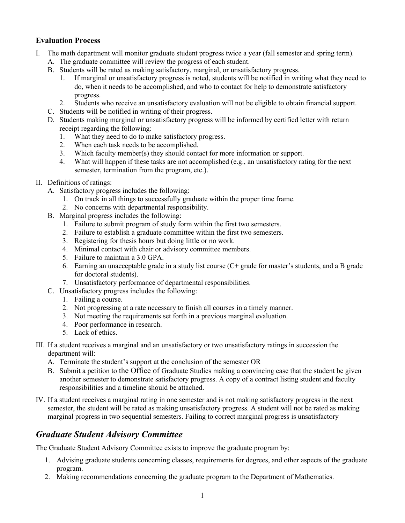# **Evaluation Process**

- I. The math department will monitor graduate student progress twice a year (fall semester and spring term). A. The graduate committee will review the progress of each student.
	- B. Students will be rated as making satisfactory, marginal, or unsatisfactory progress.
		- 1. If marginal or unsatisfactory progress is noted, students will be notified in writing what they need to do, when it needs to be accomplished, and who to contact for help to demonstrate satisfactory progress.
		- 2. Students who receive an unsatisfactory evaluation will not be eligible to obtain financial support.
	- C. Students will be notified in writing of their progress.
	- D. Students making marginal or unsatisfactory progress will be informed by certified letter with return receipt regarding the following:
		- 1. What they need to do to make satisfactory progress.
		- 2. When each task needs to be accomplished.
		- 3. Which faculty member(s) they should contact for more information or support.
		- 4. What will happen if these tasks are not accomplished (e.g., an unsatisfactory rating for the next semester, termination from the program, etc.).
- II. Definitions of ratings:
	- A. Satisfactory progress includes the following:
		- 1. On track in all things to successfully graduate within the proper time frame.
		- 2. No concerns with departmental responsibility.
	- B. Marginal progress includes the following:
		- 1. Failure to submit program of study form within the first two semesters.
		- 2. Failure to establish a graduate committee within the first two semesters.
		- 3. Registering for thesis hours but doing little or no work.
		- 4. Minimal contact with chair or advisory committee members.
		- 5. Failure to maintain a 3.0 GPA.
		- 6. Earning an unacceptable grade in a study list course (C+ grade for master's students, and a B grade for doctoral students).
		- 7. Unsatisfactory performance of departmental responsibilities.
	- C. Unsatisfactory progress includes the following:
		- 1. Failing a course.
		- 2. Not progressing at a rate necessary to finish all courses in a timely manner.
		- 3. Not meeting the requirements set forth in a previous marginal evaluation.
		- 4. Poor performance in research.
		- 5. Lack of ethics.
- III. If a student receives a marginal and an unsatisfactory or two unsatisfactory ratings in succession the department will:
	- A. Terminate the student's support at the conclusion of the semester OR
	- B. Submit a petition to the Office of Graduate Studies making a convincing case that the student be given another semester to demonstrate satisfactory progress. A copy of a contract listing student and faculty responsibilities and a timeline should be attached.
- IV. If a student receives a marginal rating in one semester and is not making satisfactory progress in the next semester, the student will be rated as making unsatisfactory progress. A student will not be rated as making marginal progress in two sequential semesters. Failing to correct marginal progress is unsatisfactory

# *Graduate Student Advisory Committee*

The Graduate Student Advisory Committee exists to improve the graduate program by:

- 1. Advising graduate students concerning classes, requirements for degrees, and other aspects of the graduate program.
- 2. Making recommendations concerning the graduate program to the Department of Mathematics.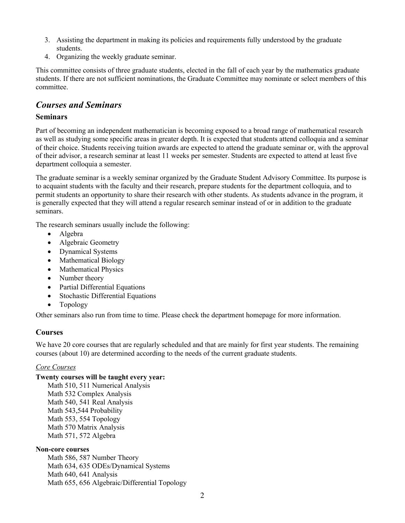- 3. Assisting the department in making its policies and requirements fully understood by the graduate students.
- 4. Organizing the weekly graduate seminar.

This committee consists of three graduate students, elected in the fall of each year by the mathematics graduate students. If there are not sufficient nominations, the Graduate Committee may nominate or select members of this committee.

# *Courses and Seminars*

### **Seminars**

Part of becoming an independent mathematician is becoming exposed to a broad range of mathematical research as well as studying some specific areas in greater depth. It is expected that students attend colloquia and a seminar of their choice. Students receiving tuition awards are expected to attend the graduate seminar or, with the approval of their advisor, a research seminar at least 11 weeks per semester. Students are expected to attend at least five department colloquia a semester.

The graduate seminar is a weekly seminar organized by the Graduate Student Advisory Committee. Its purpose is to acquaint students with the faculty and their research, prepare students for the department colloquia, and to permit students an opportunity to share their research with other students. As students advance in the program, it is generally expected that they will attend a regular research seminar instead of or in addition to the graduate seminars.

The research seminars usually include the following:

- Algebra
- Algebraic Geometry
- Dynamical Systems
- Mathematical Biology
- Mathematical Physics
- Number theory
- Partial Differential Equations
- Stochastic Differential Equations
- Topology

Other seminars also run from time to time. Please check the department homepage for more information.

# **Courses**

We have 20 core courses that are regularly scheduled and that are mainly for first year students. The remaining courses (about 10) are determined according to the needs of the current graduate students.

### *Core Courses*

#### **Twenty courses will be taught every year:**

Math 510, 511 Numerical Analysis Math 532 Complex Analysis Math 540, 541 Real Analysis Math 543,544 Probability Math 553, 554 Topology Math 570 Matrix Analysis Math 571, 572 Algebra

#### **Non-core courses**

Math 586, 587 Number Theory Math 634, 635 ODEs/Dynamical Systems Math 640, 641 Analysis Math 655, 656 Algebraic/Differential Topology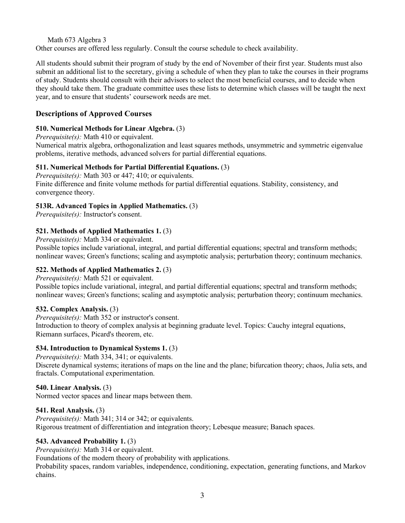Math 673 Algebra 3

Other courses are offered less regularly. Consult the course schedule to check availability.

All students should submit their program of study by the end of November of their first year. Students must also submit an additional list to the secretary, giving a schedule of when they plan to take the courses in their programs of study. Students should consult with their advisors to select the most beneficial courses, and to decide when they should take them. The graduate committee uses these lists to determine which classes will be taught the next year, and to ensure that students' coursework needs are met.

# **Descriptions of Approved Courses**

### **510. Numerical Methods for Linear Algebra.** (3)

*Prerequisite(s):* Math 410 or equivalent.

Numerical matrix algebra, orthogonalization and least squares methods, unsymmetric and symmetric eigenvalue problems, iterative methods, advanced solvers for partial differential equations.

# **511. Numerical Methods for Partial Differential Equations.** (3)

*Prerequisite(s):* Math 303 or 447; 410; or equivalents. Finite difference and finite volume methods for partial differential equations. Stability, consistency, and convergence theory.

# **513R. Advanced Topics in Applied Mathematics.** (3)

*Prerequisite(s):* Instructor's consent.

# **521. Methods of Applied Mathematics 1.** (3)

*Prerequisite(s):* Math 334 or equivalent.

Possible topics include variational, integral, and partial differential equations; spectral and transform methods; nonlinear waves; Green's functions; scaling and asymptotic analysis; perturbation theory; continuum mechanics.

# **522. Methods of Applied Mathematics 2.** (3)

*Prerequisite(s):* Math 521 or equivalent.

Possible topics include variational, integral, and partial differential equations; spectral and transform methods; nonlinear waves; Green's functions; scaling and asymptotic analysis; perturbation theory; continuum mechanics.

# **532. Complex Analysis.** (3)

*Prerequisite(s):* Math 352 or instructor's consent. Introduction to theory of complex analysis at beginning graduate level. Topics: Cauchy integral equations, Riemann surfaces, Picard's theorem, etc.

# **534. Introduction to Dynamical Systems 1.** (3)

*Prerequisite(s):* Math 334, 341; or equivalents. Discrete dynamical systems; iterations of maps on the line and the plane; bifurcation theory; chaos, Julia sets, and fractals. Computational experimentation.

### **540. Linear Analysis.** (3)

Normed vector spaces and linear maps between them.

### **541. Real Analysis.** (3)

*Prerequisite(s):* Math 341; 314 or 342; or equivalents. Rigorous treatment of differentiation and integration theory; Lebesque measure; Banach spaces.

# **543. Advanced Probability 1.** (3)

*Prerequisite(s):* Math 314 or equivalent.

Foundations of the modern theory of probability with applications.

Probability spaces, random variables, independence, conditioning, expectation, generating functions, and Markov chains.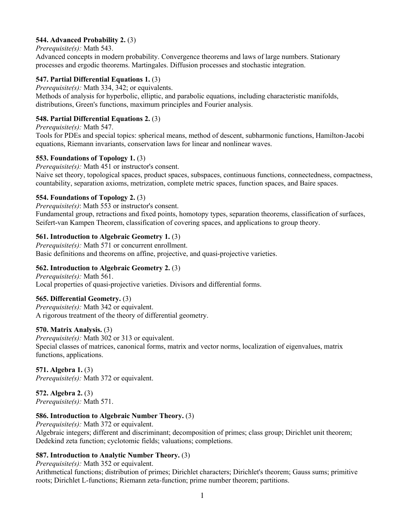# **544. Advanced Probability 2.** (3)

#### *Prerequisite(s):* Math 543.

Advanced concepts in modern probability. Convergence theorems and laws of large numbers. Stationary processes and ergodic theorems. Martingales. Diffusion processes and stochastic integration.

# **547. Partial Differential Equations 1.** (3)

*Prerequisite(s):* Math 334, 342; or equivalents.

Methods of analysis for hyperbolic, elliptic, and parabolic equations, including characteristic manifolds, distributions, Green's functions, maximum principles and Fourier analysis.

### **548. Partial Differential Equations 2.** (3)

*Prerequisite(s):* Math 547.

Tools for PDEs and special topics: spherical means, method of descent, subharmonic functions, Hamilton-Jacobi equations, Riemann invariants, conservation laws for linear and nonlinear waves.

### **553. Foundations of Topology 1.** (3)

*Prerequisite(s):* Math 451 or instructor's consent.

Naive set theory, topological spaces, product spaces, subspaces, continuous functions, connectedness, compactness, countability, separation axioms, metrization, complete metric spaces, function spaces, and Baire spaces.

### **554. Foundations of Topology 2.** (3)

*Prerequisite(s)*: Math 553 or instructor's consent.

Fundamental group, retractions and fixed points, homotopy types, separation theorems, classification of surfaces, Seifert-van Kampen Theorem, classification of covering spaces, and applications to group theory.

### **561. Introduction to Algebraic Geometry 1.** (3)

*Prerequisite(s):* Math 571 or concurrent enrollment. Basic definitions and theorems on affine, projective, and quasi-projective varieties.

### **562. Introduction to Algebraic Geometry 2.** (3)

*Prerequisite(s):* Math 561. Local properties of quasi-projective varieties. Divisors and differential forms.

### **565. Differential Geometry.** (3)

*Prerequisite(s):* Math 342 or equivalent. A rigorous treatment of the theory of differential geometry.

### **570. Matrix Analysis.** (3)

*Prerequisite(s):* Math 302 or 313 or equivalent. Special classes of matrices, canonical forms, matrix and vector norms, localization of eigenvalues, matrix functions, applications.

### **571. Algebra 1.** (3)

*Prerequisite(s):* Math 372 or equivalent.

# **572. Algebra 2.** (3)

*Prerequisite(s):* Math 571.

### **586. Introduction to Algebraic Number Theory.** (3)

*Prerequisite(s):* Math 372 or equivalent. Algebraic integers; different and discriminant; decomposition of primes; class group; Dirichlet unit theorem; Dedekind zeta function; cyclotomic fields; valuations; completions.

### **587. Introduction to Analytic Number Theory.** (3)

*Prerequisite(s):* Math 352 or equivalent.

Arithmetical functions; distribution of primes; Dirichlet characters; Dirichlet's theorem; Gauss sums; primitive roots; Dirichlet L-functions; Riemann zeta-function; prime number theorem; partitions.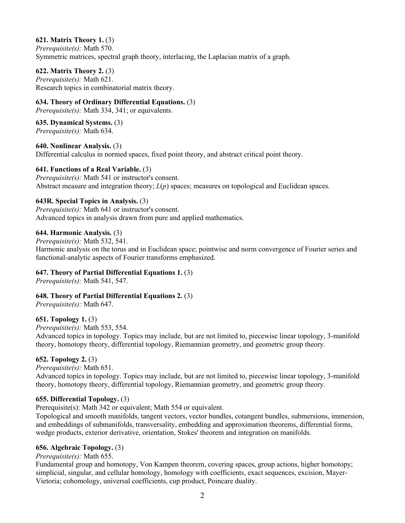# **621. Matrix Theory 1.** (3)

*Prerequisite(s):* Math 570. Symmetric matrices, spectral graph theory, interlacing, the Laplacian matrix of a graph.

### **622. Matrix Theory 2.** (3)

*Prerequisite(s):* Math 621. Research topics in combinatorial matrix theory.

# **634. Theory of Ordinary Differential Equations.** (3)

*Prerequisite(s):* Math 334, 341; or equivalents.

### **635. Dynamical Systems.** (3)

*Prerequisite(s):* Math 634.

### **640. Nonlinear Analysis.** (3)

Differential calculus in normed spaces, fixed point theory, and abstract critical point theory.

### **641. Functions of a Real Variable.** (3)

*Prerequisite(s):* Math 541 or instructor's consent. Abstract measure and integration theory; *L*(*p*) spaces; measures on topological and Euclidean spaces.

### **643R. Special Topics in Analysis.** (3)

*Prerequisite(s):* Math 641 or instructor's consent. Advanced topics in analysis drawn from pure and applied mathematics.

### **644. Harmonic Analysis.** (3)

*Prerequisite(s):* Math 532, 541. Harmonic analysis on the torus and in Euclidean space; pointwise and norm convergence of Fourier series and functional-analytic aspects of Fourier transforms emphasized.

# **647. Theory of Partial Differential Equations 1.** (3)

*Prerequisite(s):* Math 541, 547.

# **648. Theory of Partial Differential Equations 2.** (3)

*Prerequisite(s):* Math 647.

### **651. Topology 1.** (3)

*Prerequisite(s):* Math 553, 554.

Advanced topics in topology. Topics may include, but are not limited to, piecewise linear topology, 3-manifold theory, homotopy theory, differential topology, Riemannian geometry, and geometric group theory.

### **652. Topology 2.** (3)

*Prerequisite(s):* Math 651.

Advanced topics in topology. Topics may include, but are not limited to, piecewise linear topology, 3-manifold theory, homotopy theory, differential topology, Riemannian geometry, and geometric group theory.

### **655. Differential Topology.** (3)

Prerequisite(s): Math 342 or equivalent; Math 554 or equivalent.

Topological and smooth manifolds, tangent vectors, vector bundles, cotangent bundles, submersions, immersion, and embeddings of submanifolds, transversality, embedding and approximation theorems, differential forms, wedge products, exterior derivative, orientation, Stokes' theorem and integration on manifolds.

### **656. Algebraic Topology.** (3)

### *Prerequisite(s):* Math 655.

Fundamental group and homotopy, Von Kampen theorem, covering spaces, group actions, higher homotopy; simplicial, singular, and cellular homology, homology with coefficients, exact sequences, excision, Mayer-Vietoria; cohomology, universal coefficients, cup product, Poincare duality.